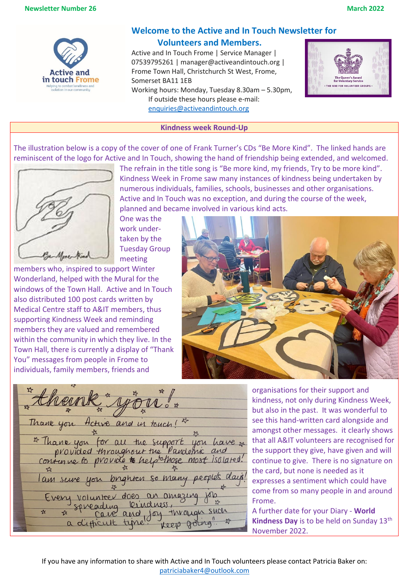

# **Welcome to the Active and In Touch Newsletter for**

## **Volunteers and Members.**

Active and In Touch Frome | Service Manager | 07539795261 | manager@activeandintouch.org | Frome Town Hall, Christchurch St West, Frome, Somerset BA11 1EB Working hours: Monday, Tuesday 8.30am – 5.30pm,

If outside these hours please e-mail: [enquiries@activeandintouch.org](mailto:enquiries@activeandintouch.org)



### **Kindness week Round-Up**

The illustration below is a copy of the cover of one of Frank Turner's CDs "Be More Kind". The linked hands are reminiscent of the logo for Active and In Touch, showing the hand of friendship being extended, and welcomed.



The refrain in the title song is "Be more kind, my friends, Try to be more kind". Kindness Week in Frome saw many instances of kindness being undertaken by numerous individuals, families, schools, businesses and other organisations. Active and In Touch was no exception, and during the course of the week, planned and became involved in various kind acts.

One was the work undertaken by the Tuesday Group meeting

members who, inspired to support Winter Wonderland, helped with the Mural for the windows of the Town Hall. Active and In Touch also distributed 100 post cards written by Medical Centre staff to A&IT members, thus supporting Kindness Week and reminding members they are valued and remembered within the community in which they live. In the Town Hall, there is currently a display of "Thank You" messages from people in Frome to individuals, family members, friends and



Thank you and in touch!  $H_rH_1\psi$ \* Thank you for all the support you have x provided throughout the Pandernic and provide to helptolhose most isolated. contenue to peoples lam volunteer does an amazing kindness spreading through such  $\frac{1}{2}$  $\frac{1}{2}$ and joy a difficult time Keep  $0$ 

organisations for their support and kindness, not only during Kindness Week, but also in the past. It was wonderful to see this hand-written card alongside and amongst other messages. it clearly shows that all A&IT volunteers are recognised for the support they give, have given and will continue to give. There is no signature on the card, but none is needed as it expresses a sentiment which could have come from so many people in and around Frome.

A further date for your Diary - **World Kindness Day** is to be held on Sunday 13<sup>th</sup> November 2022.

If you have any information to share with Active and In Touch volunteers please contact Patricia Baker on: [patriciabaker4@outlook.com](mailto:patriciabaker4@outlook.com)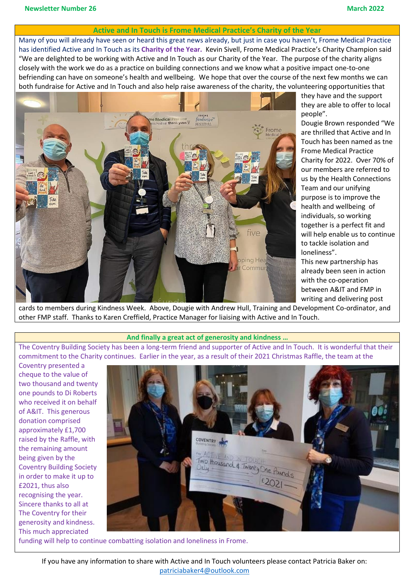### **Active and In Touch is Frome Medical Practice's Charity of the Year**

Many of you will already have seen or heard this great news already, but just in case you haven't, Frome Medical Practice has identified Active and In Touch as its **Charity of the Year.** Kevin Sivell, Frome Medical Practice's Charity Champion said "We are delighted to be working with Active and In Touch as our Charity of the Year. The purpose of the charity aligns closely with the work we do as a practice on building connections and we know what a positive impact one-to-one befriending can have on someone's health and wellbeing. We hope that over the course of the next few months we can both fundraise for Active and In Touch and also help raise awareness of the charity, the volunteering opportunities that



they have and the support they are able to offer to local people".

Dougie Brown responded "We are thrilled that Active and In Touch has been named as tne Frome Medical Practice Charity for 2022. Over 70% of our members are referred to us by the Health Connections Team and our unifying purpose is to improve the health and wellbeing of individuals, so working together is a perfect fit and will help enable us to continue to tackle isolation and loneliness".

This new partnership has already been seen in action with the co-operation between A&IT and FMP in writing and delivering post

cards to members during Kindness Week. Above, Dougie with Andrew Hull, Training and Development Co-ordinator, and other FMP staff. Thanks to Karen Creffield, Practice Manager for liaising with Active and In Touch.

#### **And finally a great act of generosity and kindness …**

The Coventry Building Society has been a long-term friend and supporter of Active and In Touch. It is wonderful that their commitment to the Charity continues. Earlier in the year, as a result of their 2021 Christmas Raffle, the team at the

Coventry presented a cheque to the value of two thousand and twenty one pounds to Di Roberts who received it on behalf of A&IT. This generous donation comprised approximately £1,700 raised by the Raffle, with the remaining amount being given by the Coventry Building Society in order to make it up to £2021, thus also recognising the year. Sincere thanks to all at The Coventry for their generosity and kindness. This much appreciated



funding will help to continue combatting isolation and loneliness in Frome.